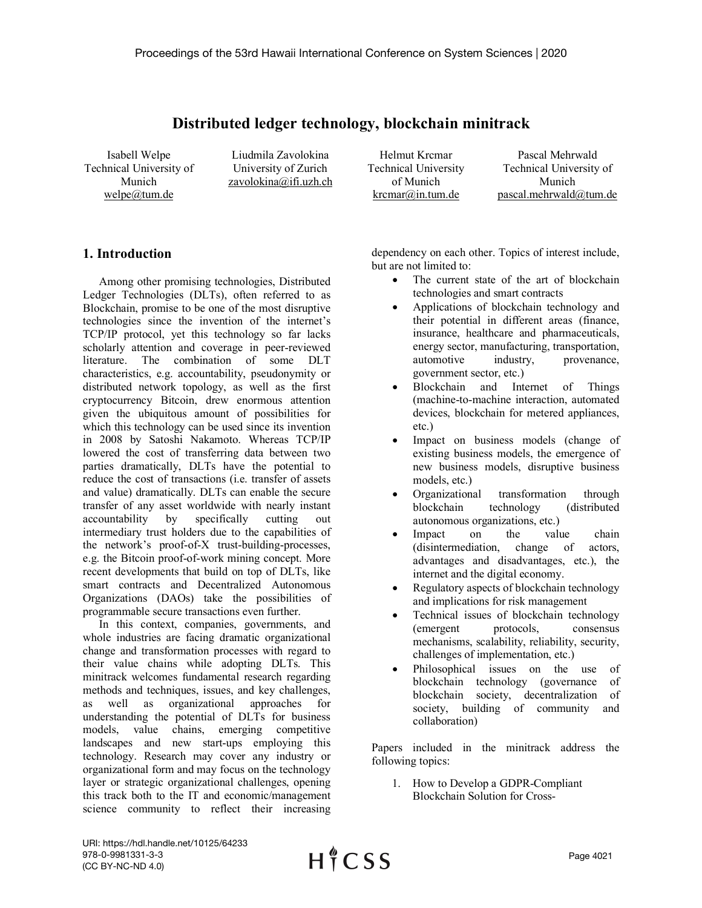## **Distributed ledger technology, blockchain minitrack**

Isabell Welpe Technical University of Munich welpe@tum.de

Liudmila Zavolokina University of Zurich zavolokina@ifi.uzh.ch

Helmut Krcmar Technical University of Munich krcmar@in.tum.de

Pascal Mehrwald Technical University of Munich pascal.mehrwald@tum.de

## **1. Introduction**

Among other promising technologies, Distributed Ledger Technologies (DLTs), often referred to as Blockchain, promise to be one of the most disruptive technologies since the invention of the internet's TCP/IP protocol, yet this technology so far lacks scholarly attention and coverage in peer-reviewed literature. The combination of some DLT characteristics, e.g. accountability, pseudonymity or distributed network topology, as well as the first cryptocurrency Bitcoin, drew enormous attention given the ubiquitous amount of possibilities for which this technology can be used since its invention in 2008 by Satoshi Nakamoto. Whereas TCP/IP lowered the cost of transferring data between two parties dramatically, DLTs have the potential to reduce the cost of transactions (i.e. transfer of assets and value) dramatically. DLTs can enable the secure transfer of any asset worldwide with nearly instant accountability by specifically cutting out intermediary trust holders due to the capabilities of the network's proof-of-X trust-building-processes, e.g. the Bitcoin proof-of-work mining concept. More recent developments that build on top of DLTs, like smart contracts and Decentralized Autonomous Organizations (DAOs) take the possibilities of programmable secure transactions even further.

In this context, companies, governments, and whole industries are facing dramatic organizational change and transformation processes with regard to their value chains while adopting DLTs. This minitrack welcomes fundamental research regarding methods and techniques, issues, and key challenges, as well as organizational approaches for understanding the potential of DLTs for business models, value chains, emerging competitive landscapes and new start-ups employing this technology. Research may cover any industry or organizational form and may focus on the technology layer or strategic organizational challenges, opening this track both to the IT and economic/management science community to reflect their increasing

dependency on each other. Topics of interest include, but are not limited to:

- The current state of the art of blockchain technologies and smart contracts
- Applications of blockchain technology and their potential in different areas (finance, insurance, healthcare and pharmaceuticals, energy sector, manufacturing, transportation, automotive industry, provenance, government sector, etc.)
- Blockchain and Internet of Things (machine-to-machine interaction, automated devices, blockchain for metered appliances, etc.)
- Impact on business models (change of existing business models, the emergence of new business models, disruptive business models, etc.)
- Organizational transformation through blockchain technology (distributed autonomous organizations, etc.)
- Impact on the value chain (disintermediation, change of actors, advantages and disadvantages, etc.), the internet and the digital economy.
- Regulatory aspects of blockchain technology and implications for risk management
- Technical issues of blockchain technology (emergent protocols, consensus mechanisms, scalability, reliability, security, challenges of implementation, etc.)
- Philosophical issues on the use of blockchain technology (governance of blockchain society, decentralization of society, building of community and collaboration)

Papers included in the minitrack address the following topics:

1. How to Develop a GDPR-Compliant Blockchain Solution for Cross-